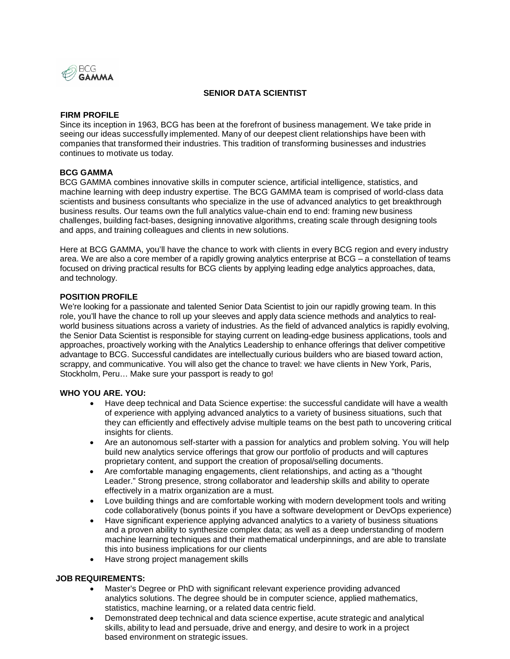

# **SENIOR DATA SCIENTIST**

### **FIRM PROFILE**

Since its inception in 1963, BCG has been at the forefront of business management. We take pride in seeing our ideas successfully implemented. Many of our deepest client relationships have been with companies that transformed their industries. This tradition of transforming businesses and industries continues to motivate us today.

#### **BCG GAMMA**

BCG GAMMA combines innovative skills in computer science, artificial intelligence, statistics, and machine learning with deep industry expertise. The BCG GAMMA team is comprised of world-class data scientists and business consultants who specialize in the use of advanced analytics to get breakthrough business results. Our teams own the full analytics value-chain end to end: framing new business challenges, building fact-bases, designing innovative algorithms, creating scale through designing tools and apps, and training colleagues and clients in new solutions.

Here at BCG GAMMA, you'll have the chance to work with clients in every BCG region and every industry area. We are also a core member of a rapidly growing analytics enterprise at BCG – a constellation of teams focused on driving practical results for BCG clients by applying leading edge analytics approaches, data, and technology.

### **POSITION PROFILE**

We're looking for a passionate and talented Senior Data Scientist to join our rapidly growing team. In this role, you'll have the chance to roll up your sleeves and apply data science methods and analytics to realworld business situations across a variety of industries. As the field of advanced analytics is rapidly evolving, the Senior Data Scientist is responsible for staying current on leading-edge business applications, tools and approaches, proactively working with the Analytics Leadership to enhance offerings that deliver competitive advantage to BCG. Successful candidates are intellectually curious builders who are biased toward action, scrappy, and communicative. You will also get the chance to travel: we have clients in New York, Paris, Stockholm, Peru… Make sure your passport is ready to go!

#### **WHO YOU ARE. YOU:**

- Have deep technical and Data Science expertise: the successful candidate will have a wealth of experience with applying advanced analytics to a variety of business situations, such that they can efficiently and effectively advise multiple teams on the best path to uncovering critical insights for clients.
- Are an autonomous self-starter with a passion for analytics and problem solving. You will help build new analytics service offerings that grow our portfolio of products and will captures proprietary content, and support the creation of proposal/selling documents.
- Are comfortable managing engagements, client relationships, and acting as a "thought Leader." Strong presence, strong collaborator and leadership skills and ability to operate effectively in a matrix organization are a must.
- Love building things and are comfortable working with modern development tools and writing code collaboratively (bonus points if you have a software development or DevOps experience)
- Have significant experience applying advanced analytics to a variety of business situations and a proven ability to synthesize complex data; as well as a deep understanding of modern machine learning techniques and their mathematical underpinnings, and are able to translate this into business implications for our clients
- Have strong project management skills

#### **JOB REQUIREMENTS:**

- Master's Degree or PhD with significant relevant experience providing advanced analytics solutions. The degree should be in computer science, applied mathematics, statistics, machine learning, or a related data centric field.
- Demonstrated deep technical and data science expertise, acute strategic and analytical skills, ability to lead and persuade, drive and energy, and desire to work in a project based environment on strategic issues.